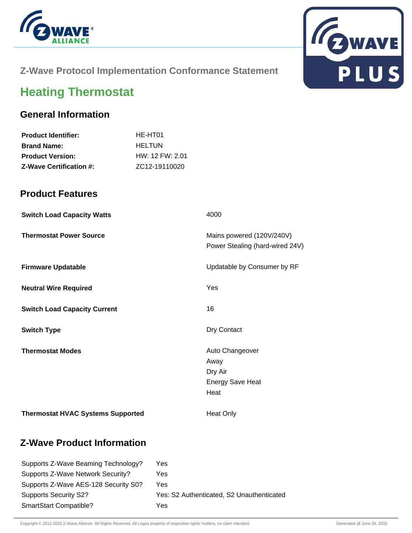



# **Z-Wave Protocol Implementation Conformance Statement**

# **Heating Thermostat**

# **General Information**

| <b>Product Identifier:</b>     | HE-HT01           |
|--------------------------------|-------------------|
| <b>Brand Name:</b>             | <b>HELTUN</b>     |
| <b>Product Version:</b>        | $HW: 12$ FW: 2.01 |
| <b>Z-Wave Certification #:</b> | ZC12-19110020     |

#### **Product Features**

| <b>Switch Load Capacity Watts</b>        | 4000                                                                  |
|------------------------------------------|-----------------------------------------------------------------------|
| <b>Thermostat Power Source</b>           | Mains powered (120V/240V)<br>Power Stealing (hard-wired 24V)          |
| <b>Firmware Updatable</b>                | Updatable by Consumer by RF                                           |
| <b>Neutral Wire Required</b>             | Yes                                                                   |
| <b>Switch Load Capacity Current</b>      | 16                                                                    |
| <b>Switch Type</b>                       | Dry Contact                                                           |
| <b>Thermostat Modes</b>                  | Auto Changeover<br>Away<br>Dry Air<br><b>Energy Save Heat</b><br>Heat |
| <b>Thermostat HVAC Systems Supported</b> | Heat Only                                                             |

# **Z-Wave Product Information**

| Supports Z-Wave Beaming Technology?  | Yes                                       |
|--------------------------------------|-------------------------------------------|
| Supports Z-Wave Network Security?    | Yes                                       |
| Supports Z-Wave AES-128 Security S0? | Yes                                       |
| <b>Supports Security S2?</b>         | Yes: S2 Authenticated, S2 Unauthenticated |
| <b>SmartStart Compatible?</b>        | Yes                                       |